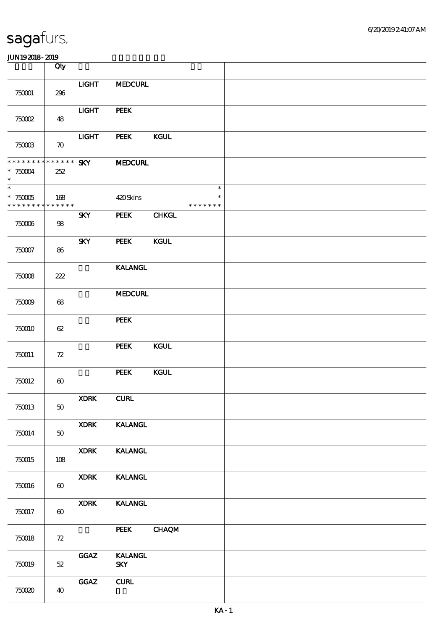|                                                               | Qty                   |              |                                         |              |                                   |  |
|---------------------------------------------------------------|-----------------------|--------------|-----------------------------------------|--------------|-----------------------------------|--|
| 750001                                                        | 296                   | <b>LIGHT</b> | <b>MEDCURL</b>                          |              |                                   |  |
| 750002                                                        | 48                    | <b>LIGHT</b> | PEEK                                    |              |                                   |  |
| $7500B$                                                       | $\boldsymbol{\pi}$    | <b>LIGHT</b> | PEEK                                    | <b>KGUL</b>  |                                   |  |
| * * * * * * * *<br>$*75004$<br>$\ast$                         | * * * * * *<br>252    | <b>SKY</b>   | <b>MEDCURL</b>                          |              |                                   |  |
| $\overline{\phantom{0}}$<br>$^\ast$ 750005<br>* * * * * * * * | 168<br>* * * * * *    |              | 420Skins                                |              | $\ast$<br>$\ast$<br>* * * * * * * |  |
| $75006$                                                       | 98                    | <b>SKY</b>   | PEEK                                    | <b>CHKGL</b> |                                   |  |
| 750007                                                        | 86                    | <b>SKY</b>   | PEEK                                    | <b>KGUL</b>  |                                   |  |
| 750008                                                        | 222                   |              | <b>KALANGL</b>                          |              |                                   |  |
| $75009$                                                       | 68                    |              | <b>MEDCURL</b>                          |              |                                   |  |
| 750010                                                        | 62                    |              | PEEK                                    |              |                                   |  |
| 750011                                                        | 72                    |              | <b>PEEK</b>                             | KGUL         |                                   |  |
| 750012                                                        | $\boldsymbol{\omega}$ |              | <b>PEEK</b>                             | <b>KGUL</b>  |                                   |  |
| 750013                                                        | $50\,$                | <b>XDRK</b>  | ${\bf C}\mathbf{U}\mathbf{R}\mathbf{L}$ |              |                                   |  |
| 750014                                                        | 50                    | <b>XDRK</b>  | <b>KALANGL</b>                          |              |                                   |  |
| 750015                                                        | 108                   | <b>XDRK</b>  | <b>KALANGL</b>                          |              |                                   |  |
| 750016                                                        | $\boldsymbol{\omega}$ | <b>XDRK</b>  | <b>KALANGL</b>                          |              |                                   |  |
| 750017                                                        | $\boldsymbol{\omega}$ | <b>XDRK</b>  | <b>KALANGL</b>                          |              |                                   |  |
| 750018                                                        | $72\,$                |              | PEEK                                    | <b>CHAQM</b> |                                   |  |
| 750019                                                        | $52\,$                | GGAZ         | <b>KALANGL</b><br><b>SKY</b>            |              |                                   |  |
| 75000                                                         | 40                    | <b>GGAZ</b>  | ${\bf CURL}$                            |              |                                   |  |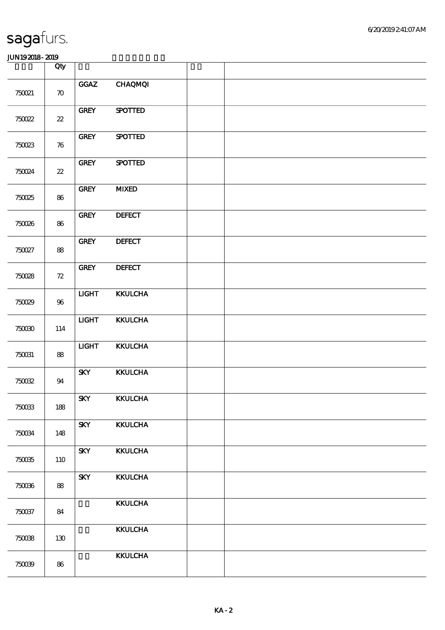|         | Qty                        |              |                |  |
|---------|----------------------------|--------------|----------------|--|
| 750021  | $\boldsymbol{\pi}$         | <b>GGAZ</b>  | <b>CHAQMQI</b> |  |
| 750022  | $22\,$                     | <b>GREY</b>  | <b>SPOTTED</b> |  |
| 750023  | $\boldsymbol{\pi}$         | <b>GREY</b>  | <b>SPOTTED</b> |  |
| 750024  | $\boldsymbol{\mathcal{Z}}$ | <b>GREY</b>  | <b>SPOTTED</b> |  |
| 750025  | 86                         | <b>GREY</b>  | <b>MIXED</b>   |  |
| 750026  | 86                         | <b>GREY</b>  | <b>DEFECT</b>  |  |
| 750027  | 88                         | <b>GREY</b>  | <b>DEFECT</b>  |  |
| 750028  | 72                         | <b>GREY</b>  | <b>DEFECT</b>  |  |
| 750029  | 96                         | <b>LIGHT</b> | <b>KKULCHA</b> |  |
| 750030  | 114                        | <b>LIGHT</b> | <b>KKULCHA</b> |  |
| 750031  | 88                         | <b>LIGHT</b> | <b>KKULCHA</b> |  |
| $75002$ | 94                         | <b>SKY</b>   | <b>KKULCHA</b> |  |
| $75003$ | 188                        | <b>SKY</b>   | <b>KKULCHA</b> |  |
| 750034  | 148                        | <b>SKY</b>   | <b>KKULCHA</b> |  |
| 750035  | 110                        | <b>SKY</b>   | <b>KKULCHA</b> |  |
| 750036  | 88                         | <b>SKY</b>   | <b>KKULCHA</b> |  |
| 750037  | 84                         |              | <b>KKULCHA</b> |  |
| 750038  | 130                        |              | <b>KKULCHA</b> |  |
| 750039  | 86                         |              | <b>KKULCHA</b> |  |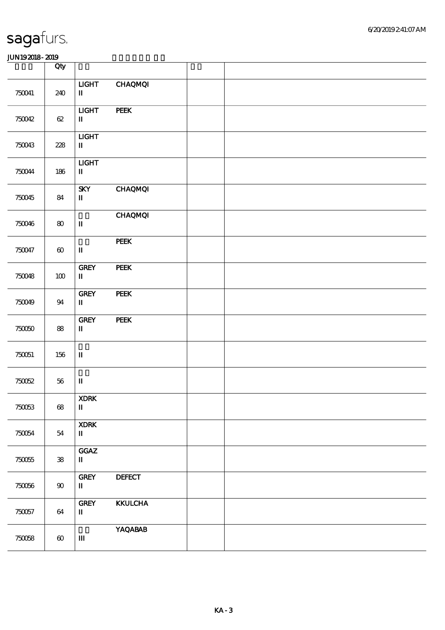|          | Qty            |                                                                         |                |  |
|----------|----------------|-------------------------------------------------------------------------|----------------|--|
| 750041   | 240            | <b>LIGHT</b><br>$\mathbf I$                                             | <b>CHAQMQI</b> |  |
| 750042   | $62\,$         | $LIGHT$<br>$\rm I\hspace{-.1em}I\hspace{-.1em}I$                        | PEEK           |  |
| 750043   | 228            | <b>LIGHT</b><br>$\mathbf{I}$                                            |                |  |
| 750044   | $186\,$        | $LIGHT$<br>$\mathbf{I}\mathbf{I}$                                       |                |  |
| 750045   | 84             | <b>SKY</b><br>$\mathbf I$                                               | <b>CHAQMQI</b> |  |
| 750046   | $\pmb{80}$     | $\mathbf I$                                                             | <b>CHAQMQI</b> |  |
| 750047   | $\pmb{\infty}$ | $\mathbf{I}\mathbf{I}$                                                  | <b>PEEK</b>    |  |
| 750048   | $100\,$        | <b>GREY</b><br>$\blacksquare$                                           | <b>PEEK</b>    |  |
| 750049   | 94             | <b>GREY</b><br>$\mathbf{I}$                                             | PEEK           |  |
| 750050   | ${\bf 88}$     | ${\rm GRFY}$<br>$\mathbf{I}\mathbf{I}$                                  | <b>PEEK</b>    |  |
| 750051   | $156\,$        | $\mathbf I$                                                             |                |  |
| 750052   | $56\,$         | $\mathbf I$                                                             |                |  |
| 750053   | $68$           | <b>XDRK</b><br>$\rm I\hspace{-.1em}I\hspace{-.1em}I$                    |                |  |
| 750054   | 54             | <b>XDRK</b><br>$\mathbf{I}$                                             |                |  |
| 750055   | ${\bf 38}$     | $_{\mbox{\bf GGAZ}}$<br>$\mathbf{I}$                                    |                |  |
| $750066$ | $90\,$         | ${\bf G}{\bf R}{\bf E}{\bf Y}$<br>$\rm I\hspace{-.1em}I\hspace{-.1em}I$ | <b>DEFECT</b>  |  |
| 750057   | 64             | ${\bf G}{\bf R}{\bf E}{\bf Y}$<br>П                                     | <b>KKULCHA</b> |  |
| 750058   | $\pmb{\infty}$ | $\mathbf m$                                                             | <b>YAQABAB</b> |  |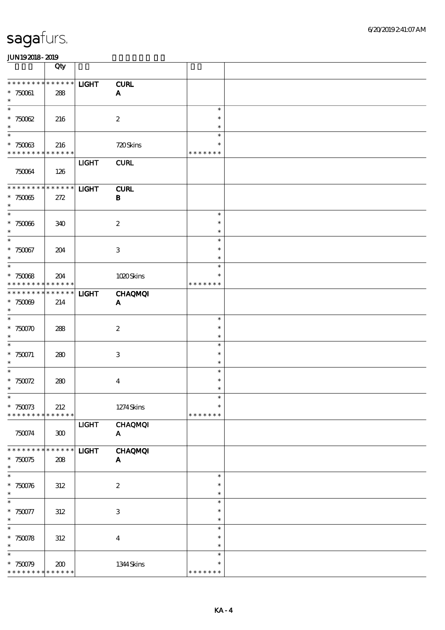|                             | Qty         |              |                           |                  |  |
|-----------------------------|-------------|--------------|---------------------------|------------------|--|
| * * * * * * * * * * * * * * |             | <b>LIGHT</b> | <b>CURL</b>               |                  |  |
| $*750061$                   | 288         |              | $\mathbf{A}$              |                  |  |
| $\ast$                      |             |              |                           |                  |  |
| $\overline{\phantom{1}}$    |             |              |                           | $\ast$           |  |
| $*75002$                    | 216         |              | $\boldsymbol{2}$          | $\ast$           |  |
| $\ast$<br>$\ast$            |             |              |                           | $\ast$<br>$\ast$ |  |
| $*75003$                    | 216         |              | 720Skins                  |                  |  |
| * * * * * * * * * * * * * * |             |              |                           | * * * * * * *    |  |
|                             |             | <b>LIGHT</b> | <b>CURL</b>               |                  |  |
| 750064                      | 126         |              |                           |                  |  |
|                             |             |              |                           |                  |  |
| **************              |             | <b>LIGHT</b> | <b>CURL</b>               |                  |  |
| $*75005$<br>$\ast$          | 272         |              | $\bf{B}$                  |                  |  |
| $\overline{\ast}$           |             |              |                           | $\ast$           |  |
| $^\ast$ 750066              | 340         |              | $\boldsymbol{2}$          | $\ast$           |  |
| $\ast$                      |             |              |                           | $\ast$           |  |
| $\ast$                      |             |              |                           | $\ast$           |  |
| * 750067                    | 204         |              | $\,3$                     | $\ast$           |  |
| $\ast$<br>$\ast$            |             |              |                           | $\ast$<br>$\ast$ |  |
| $*75008$                    | 204         |              | 1020Skins                 | $\ast$           |  |
| * * * * * * * *             | $******$    |              |                           | * * * * * * *    |  |
| * * * * * * *               | * * * * * * | <b>LIGHT</b> | <b>CHAQMQI</b>            |                  |  |
| $*75000$                    | 214         |              | $\mathbf{A}$              |                  |  |
| $\ast$                      |             |              |                           |                  |  |
| $\ast$                      |             |              |                           | $\ast$           |  |
| $*75000$<br>$\ast$          | 288         |              | $\boldsymbol{2}$          | $\ast$<br>$\ast$ |  |
| $\ast$                      |             |              |                           | $\ast$           |  |
| $*750071$                   | 280         |              | $\,3$                     | $\ast$           |  |
| $\ast$                      |             |              |                           | $\ast$           |  |
| $\ast$                      |             |              |                           | $\ast$           |  |
| * $750072$                  | 280         |              | $\bf{4}$                  | $\ast$           |  |
| $\ast$<br>$*$               |             |              |                           | $\ast$<br>$\ast$ |  |
| $*750073$                   | 212         |              | 1274Skins                 | $\ast$           |  |
| * * * * * * * *             | * * * * * * |              |                           | * * * * * * *    |  |
|                             |             | <b>LIGHT</b> | <b>CHAQMQI</b>            |                  |  |
| 750074                      | ${\bf 300}$ |              | ${\bf A}$                 |                  |  |
|                             |             |              |                           |                  |  |
| * * * * * * *               | * * * * * * | <b>LIGHT</b> | <b>CHAQMQI</b>            |                  |  |
| $*750075$<br>$\ast$         | 208         |              | $\mathbf{A}$              |                  |  |
| $\ast$                      |             |              |                           | $\ast$           |  |
| $*750076$                   | 312         |              | $\boldsymbol{2}$          | $\ast$           |  |
| $\ast$                      |             |              |                           | $\ast$           |  |
| $\overline{\phantom{a}}$    |             |              |                           | $\ast$           |  |
| * 750077                    | 312         |              | $\ensuremath{\mathsf{3}}$ | $\ast$           |  |
| $\ast$<br>$\ast$            |             |              |                           | $\ast$<br>$\ast$ |  |
| $* 750078$                  | 312         |              | $\boldsymbol{4}$          | $\ast$           |  |
| $\ast$                      |             |              |                           | $\ast$           |  |
| $\ast$                      |             |              |                           | $\ast$           |  |
| $*750079$                   | 200         |              | 1344Skins                 | $\ast$           |  |
| * * * * * * * * * * * * * * |             |              |                           | * * * * * * *    |  |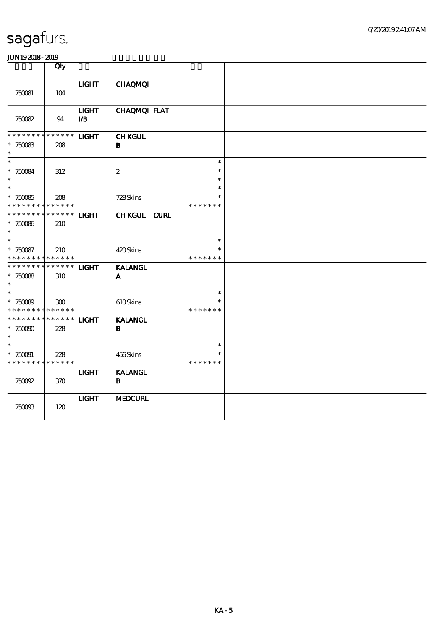| .                                                               |                    |                                        |                                |                                   |  |
|-----------------------------------------------------------------|--------------------|----------------------------------------|--------------------------------|-----------------------------------|--|
|                                                                 | Qty                |                                        |                                |                                   |  |
| 750081                                                          | 104                | <b>LIGHT</b>                           | <b>CHAQMQI</b>                 |                                   |  |
| 750082                                                          | 94                 | <b>LIGHT</b><br>$\mathbf{L}\mathbf{B}$ | CHAQMQI FLAT                   |                                   |  |
| * * * * * * *<br>$*750083$<br>$\ast$                            | * * * * * *<br>208 | <b>LIGHT</b>                           | <b>CHKGUL</b><br>$\, {\bf B}$  |                                   |  |
| $\ast$<br>$*750084$<br>$\ast$                                   | $312\,$            |                                        | $\boldsymbol{2}$               | $\ast$<br>$\ast$<br>$\ast$        |  |
| $\ast$<br>$*750085$<br>* * * * * * * *                          | 208<br>* * * * * * |                                        | 728Skins                       | $\ast$<br>$\ast$<br>* * * * * * * |  |
| * * * * * * * *<br>$*750066$<br>$\ast$                          | * * * * * *<br>210 | <b>LIGHT</b>                           | CHKGUL CURL                    |                                   |  |
| $\overline{\ast}$<br>* 750087<br>* * * * * * * *                | 210<br>* * * * * * |                                        | 420Skins                       | $\ast$<br>$\ast$<br>* * * * * * * |  |
| * * * * * * * *<br>* 750088<br>$\ast$                           | * * * * * *<br>310 | <b>LIGHT</b>                           | <b>KALANGL</b><br>A            |                                   |  |
| $\ast$<br>$*750089$<br>* * * * * * * * <mark>* * * * * *</mark> | 300                |                                        | 610Skins                       | $\ast$<br>$\ast$<br>* * * * * * * |  |
| * * * * * * * *<br>$*75000$<br>$\ast$                           | * * * * * *<br>228 | <b>LIGHT</b>                           | <b>KALANGL</b><br>B            |                                   |  |
| $\ast$<br>$*750091$<br>* * * * * * * *                          | 228<br>* * * * * * |                                        | 456Skins                       | $\ast$<br>$\ast$<br>* * * * * * * |  |
| $75002$                                                         | 370                | <b>LIGHT</b>                           | <b>KALANGL</b><br>$\, {\bf B}$ |                                   |  |
| 750003                                                          | 120                | <b>LIGHT</b>                           | <b>MEDCURL</b>                 |                                   |  |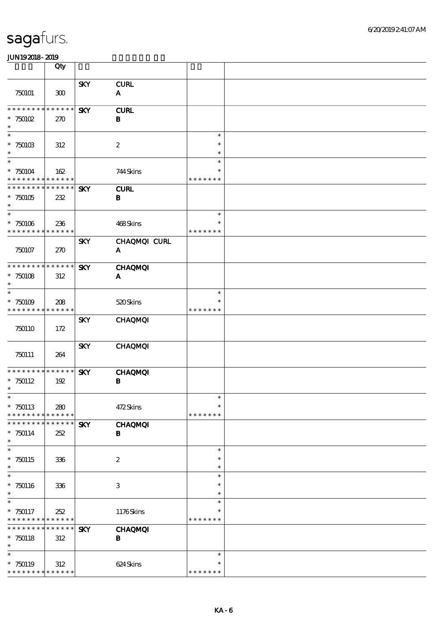|                                            | Qty                        |            |                  |                         |  |
|--------------------------------------------|----------------------------|------------|------------------|-------------------------|--|
|                                            |                            | <b>SKY</b> | <b>CURL</b>      |                         |  |
| 750101                                     | 300                        |            | A                |                         |  |
| ********                                   | * * * * * *                | <b>SKY</b> | <b>CURL</b>      |                         |  |
| $*750102$<br>$\ast$                        | 270                        |            | $\bf{B}$         |                         |  |
| $\ast$                                     |                            |            |                  | $\ast$                  |  |
| $*75010B$<br>$\ast$                        | 312                        |            | $\boldsymbol{2}$ | $\ast$<br>$\ast$        |  |
| $\ast$                                     |                            |            |                  | $\ast$                  |  |
| $*750104$<br>* * * * * * * *               | 162<br>* * * * * *         |            | 744Skins         | $\ast$<br>* * * * * * * |  |
| * * * * * * * *                            | * * * * * *                | <b>SKY</b> | <b>CURL</b>      |                         |  |
| $*750105$<br>$\ast$                        | 232                        |            | $\bf{B}$         |                         |  |
| $\ast$                                     |                            |            |                  | $\ast$                  |  |
| $*750106$<br>* * * * * * * *               | 236<br>* * * * * *         |            | 468Skins         | $\ast$<br>* * * * * * * |  |
|                                            |                            | <b>SKY</b> | CHAQMQI CURL     |                         |  |
| 750107                                     | 270                        |            | $\mathbf{A}$     |                         |  |
| * * * * * * * * * * * * * *                |                            | <b>SKY</b> | <b>CHAQMQI</b>   |                         |  |
| $* 750108$                                 | 312                        |            | A                |                         |  |
| $\ast$<br>$\ast$                           |                            |            |                  | $\ast$                  |  |
| $*750109$                                  | 208                        |            | 520Skins         |                         |  |
| * * * * * * * * <mark>* * * * * * *</mark> |                            | <b>SKY</b> | <b>CHAQMQI</b>   | * * * * * * *           |  |
| 750110                                     | 172                        |            |                  |                         |  |
|                                            |                            | <b>SKY</b> | <b>CHAQMQI</b>   |                         |  |
| 750111                                     | 264                        |            |                  |                         |  |
| * * * * * * * *                            | * * * * * *                | <b>SKY</b> | <b>CHAQMQI</b>   |                         |  |
| $*750112$                                  | 192                        |            | $\, {\bf B}$     |                         |  |
| $\ast$<br>$\ast$                           |                            |            |                  | $\ast$                  |  |
| $*750113$                                  | 280                        |            | 472Skins         | $\ast$                  |  |
| * * * * * * *<br>* * * * * * *             | * * * * * *<br>* * * * * * | <b>SKY</b> | <b>CHAQMQI</b>   | * * * * * * *           |  |
| $*750114$                                  | 252                        |            | B                |                         |  |
| $\ast$<br>$\ast$                           |                            |            |                  | $\ast$                  |  |
| $*750115$                                  | 336                        |            | $\boldsymbol{2}$ | $\ast$                  |  |
| $\ast$<br>$\ast$                           |                            |            |                  | $\ast$<br>$\ast$        |  |
| $*750116$                                  | 336                        |            | 3                | $\ast$                  |  |
| $\ast$<br>$\ast$                           |                            |            |                  | $\ast$<br>$\ast$        |  |
| $*750117$                                  | 252                        |            | 1176Skins        | $\ast$                  |  |
| * * * * * * * *<br>* * * *<br>* * *        | * * * * * *<br>* * * * * * | <b>SKY</b> | <b>CHAQMQI</b>   | * * * * * * *           |  |
| $*750118$                                  | 312                        |            | $\bf{B}$         |                         |  |
| $\ast$<br>$\ast$                           |                            |            |                  | $\ast$                  |  |
| $*750119$                                  | 312                        |            | 624Skins         | $\ast$                  |  |
| * * * * * * * * * * * * * *                |                            |            |                  | * * * * * * *           |  |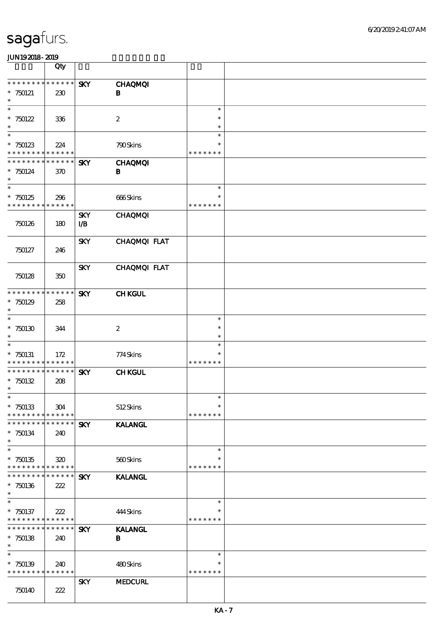|                                                                 | Qty                    |                                      |                                |                                   |  |
|-----------------------------------------------------------------|------------------------|--------------------------------------|--------------------------------|-----------------------------------|--|
| * * * * * * * * * * * * * *<br>$*750121$<br>$\ast$              | 230                    | <b>SKY</b>                           | <b>CHAQMQI</b><br>$\bf{B}$     |                                   |  |
| $\ast$<br>$*750122$<br>$\ast$                                   | 336                    |                                      | $\boldsymbol{2}$               | $\ast$<br>$\ast$<br>$\ast$        |  |
| $\ast$<br>$*750123$<br>* * * * * * * * * * * * * *              | 224                    |                                      | 790Skins                       | $\ast$<br>*<br>* * * * * * *      |  |
| * * * * * * * *<br>$*750124$<br>$\ast$<br>$\overline{\ast}$     | $* * * * * * *$<br>370 | <b>SKY</b>                           | <b>CHAQMQI</b><br>В            |                                   |  |
| $*750125$<br>* * * * * * * *                                    | 296<br>* * * * * *     |                                      | 666Skins                       | $\ast$<br>$\ast$<br>* * * * * * * |  |
| 750126                                                          | 180                    | <b>SKY</b><br>$\mathbf{I}\mathbf{B}$ | <b>CHAQMQI</b>                 |                                   |  |
| 750127                                                          | 246                    | <b>SKY</b>                           | CHAQMQI FLAT                   |                                   |  |
| 750128                                                          | 350                    | <b>SKY</b>                           | CHAQMQI FLAT                   |                                   |  |
| * * * * * * * * * * * * * *<br>$*750129$<br>$\ast$              | 258                    | <b>SKY</b>                           | <b>CHKGUL</b>                  |                                   |  |
| $\ast$<br>$*750130$<br>$\ast$                                   | 344                    |                                      | $\boldsymbol{2}$               | $\ast$<br>$\ast$<br>$\ast$        |  |
| $\ast$<br>$*750131$<br>* * * * * * * * <mark>* * * * * *</mark> | 172                    |                                      | 774Skins                       | $\ast$<br>$\ast$<br>* * * * * * * |  |
| * * * * * * * * * * * * * *<br>$*750132$<br>$\ast$              | 208                    | <b>SKY</b>                           | <b>CHKGUL</b>                  |                                   |  |
| $\ast$<br>$*750133$<br>* * * * * * * *                          | 304<br>* * * * * *     |                                      | 512Skins                       | $\ast$<br>$\ast$<br>* * * * * * * |  |
| * * * * * * *<br>$*750134$<br>$\ast$                            | * * * * * *<br>240     | <b>SKY</b>                           | <b>KALANGL</b>                 |                                   |  |
| $\ast$<br>$*750135$<br>* * * * * * * * * * * * * *              | 320                    |                                      | 560Skins                       | $\ast$<br>*<br>* * * * * * *      |  |
| * * * * * * *<br>$*750136$<br>$\ast$                            | * * * * * *<br>222     | <b>SKY</b>                           | <b>KALANGL</b>                 |                                   |  |
| $\ast$<br>$*750137$<br>* * * * * * * *                          | 222<br>* * * * * *     |                                      | 444Skins                       | $\ast$<br>$\ast$<br>* * * * * * * |  |
| * * * * * * * *<br>$*750138$<br>$\ast$                          | * * * * * *<br>240     | <b>SKY</b>                           | <b>KALANGL</b><br>$\, {\bf B}$ |                                   |  |
| $\ast$<br>$*750139$<br>* * * * * * * * * * * * * *              | 240                    |                                      | 480Skins                       | $\ast$<br>$\ast$<br>* * * * * * * |  |
| 750140                                                          | 222                    | <b>SKY</b>                           | <b>MEDCURL</b>                 |                                   |  |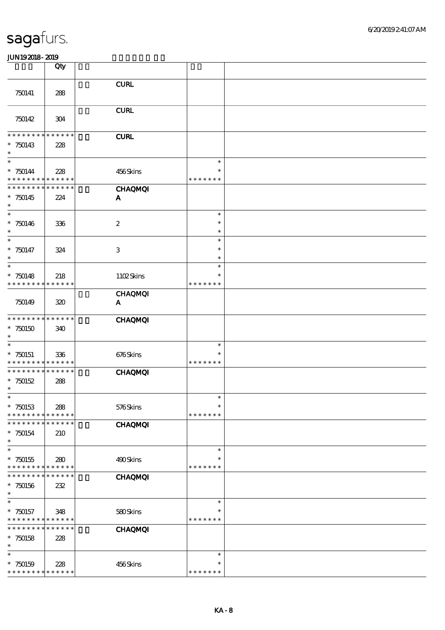|                                  | Qty                        |                                         |               |  |
|----------------------------------|----------------------------|-----------------------------------------|---------------|--|
|                                  |                            |                                         |               |  |
|                                  |                            | ${\bf C}\mathbf{U}\mathbf{R}\mathbf{L}$ |               |  |
| 750141                           | 288                        |                                         |               |  |
|                                  |                            | <b>CURL</b>                             |               |  |
| 750142                           | 304                        |                                         |               |  |
|                                  |                            |                                         |               |  |
| * * * * * * *                    | * * * * * *                | <b>CURL</b>                             |               |  |
| $*750143$                        | 228                        |                                         |               |  |
| $\ast$                           |                            |                                         |               |  |
| $\overline{\ast}$                |                            |                                         | $\ast$        |  |
| $* 750144$                       | 228                        | 456Skins                                | $\ast$        |  |
| * * * * * * * *<br>* * * * * * * | * * * * * *<br>* * * * * * |                                         | * * * * * * * |  |
|                                  |                            | <b>CHAQMQI</b>                          |               |  |
| $*750145$<br>$\ast$              | 224                        | A                                       |               |  |
| $\ast$                           |                            |                                         | $\ast$        |  |
| $*750146$                        | 336                        | $\boldsymbol{2}$                        | $\ast$        |  |
| $\ast$                           |                            |                                         | $\ast$        |  |
| $\ast$                           |                            |                                         | $\ast$        |  |
| $* 750147$                       | 324                        | $\ensuremath{\mathbf{3}}$               | $\ast$        |  |
| $\ast$                           |                            |                                         | $\ast$        |  |
| $\ast$                           |                            |                                         | $\ast$        |  |
| $*750148$                        | 218                        | 1102Skins                               | $\ast$        |  |
| * * * * * * * *                  | * * * * * *                |                                         | * * * * * * * |  |
|                                  |                            | <b>CHAQMQI</b>                          |               |  |
| 750149                           | 320                        | $\mathbf{A}$                            |               |  |
| * * * * * * * *                  | * * * * * *                | <b>CHAQMQI</b>                          |               |  |
| $*750150$                        | 340                        |                                         |               |  |
| $\ast$                           |                            |                                         |               |  |
| $\ast$                           |                            |                                         | $\ast$        |  |
| $*750151$                        | 336                        | 676Skins                                | $\ast$        |  |
| * * * * * * * *                  | * * * * * *                |                                         | * * * * * * * |  |
| * * * * * * *                    | * * * * * *                | <b>CHAQMQI</b>                          |               |  |
| $*750152$<br>$\ast$              | 288                        |                                         |               |  |
| $\ast$                           |                            |                                         | $\ast$        |  |
| $*750153$                        | 288                        | 576Skins                                | $\ast$        |  |
| * * * * * * * *                  | * * * * * *                |                                         | * * * * * * * |  |
| * * * * * * *                    | * * * * * *                | <b>CHAQMQI</b>                          |               |  |
| $*750154$                        | 210                        |                                         |               |  |
| $\ast$                           |                            |                                         |               |  |
| $\ast$                           |                            |                                         | $\ast$        |  |
| $*750155$                        | 280                        | 490Skins                                | $\ast$        |  |
| * * * * * * * *                  | * * * * * *                |                                         | * * * * * * * |  |
| * * * * * * *                    | * * * * * *                | <b>CHAQMQI</b>                          |               |  |
| $*750156$<br>$\ast$              | 232                        |                                         |               |  |
| $\ast$                           |                            |                                         | $\ast$        |  |
| $*750157$                        | 348                        | 580Skins                                | *             |  |
| * * * * * * * *                  | * * * * * *                |                                         | * * * * * * * |  |
| * * * * * * *                    | * * * * * *                | <b>CHAQMQI</b>                          |               |  |
| $*750158$                        | 228                        |                                         |               |  |
| $\ast$                           |                            |                                         |               |  |
| $\ast$                           |                            |                                         | $\ast$        |  |
| $*750159$                        | 228                        | 456Skins                                | $\ast$        |  |
| * * * * * * * *                  | * * * * * *                |                                         | * * * * * * * |  |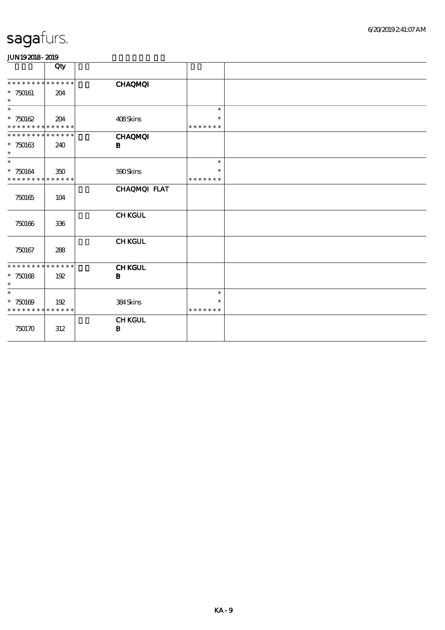|                                                    | Qty                |                               |                  |  |
|----------------------------------------------------|--------------------|-------------------------------|------------------|--|
| * * * * * * * *<br>$*750161$<br>$\ast$             | * * * * * *<br>204 | <b>CHAQMQI</b>                |                  |  |
| $\ast$                                             |                    |                               | $\ast$<br>$\ast$ |  |
| $*750162$<br>* * * * * * * * * * * * * *           | 204                | 408Skins                      | * * * * * * *    |  |
| * * * * * * * *<br>$*750163$<br>$\ast$             | * * * * * *<br>240 | <b>CHAQMQI</b><br>B           |                  |  |
| $\ast$<br>$*750164$                                | 350                | 500Skins                      | $\ast$<br>$\ast$ |  |
| * * * * * * * * * * * * * *                        |                    |                               | * * * * * * *    |  |
| 750165                                             | 104                | CHAQMQI FLAT                  |                  |  |
| 750166                                             | 336                | <b>CHKGUL</b>                 |                  |  |
| 750167                                             | 288                | <b>CHKGUL</b>                 |                  |  |
| * * * * * * * * * * * * * *<br>$*750168$<br>$\ast$ | 192                | <b>CHKGUL</b><br>$\, {\bf B}$ |                  |  |
| $\ast$                                             |                    |                               | $\ast$<br>$\ast$ |  |
| $*750169$<br>* * * * * * * * * * * * * *           | 192                | 384Skins                      | * * * * * * *    |  |
| 750170                                             | 312                | <b>CHKGUL</b><br>$\, {\bf B}$ |                  |  |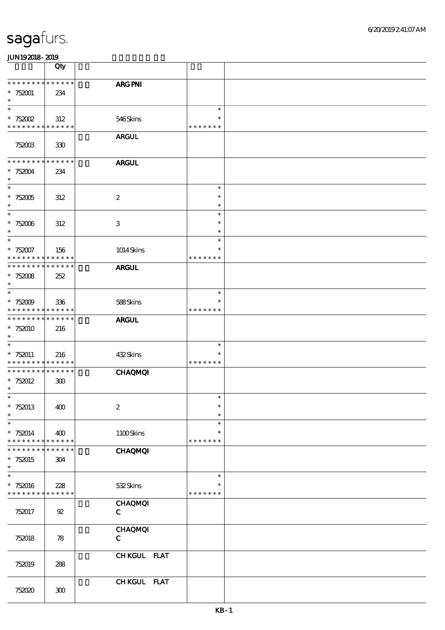|                                                                  | Qty                |                               |                                   |  |
|------------------------------------------------------------------|--------------------|-------------------------------|-----------------------------------|--|
| * * * * * * * *<br>$*752001$<br>$\ast$                           | * * * * * *<br>234 | ARG PNI                       |                                   |  |
| $\ast$<br>$* 752002$<br>* * * * * * * * <mark>* * * * * *</mark> | 312                | 546Skins                      | $\ast$<br>$\ast$<br>* * * * * * * |  |
| 752003                                                           | 330                | <b>ARGUL</b>                  |                                   |  |
| * * * * * * * *<br>$* 752004$<br>$\ast$                          | * * * * * *<br>234 | <b>ARGUL</b>                  |                                   |  |
| $\overline{\ast}$<br>$^\ast$ 752005<br>$\ast$                    | 312                | $\boldsymbol{2}$              | $\ast$<br>$\ast$<br>$\ast$        |  |
| $\ast$<br>$* 752006$<br>$\ast$                                   | 312                | $\,3$                         | $\ast$<br>$\ast$<br>$\ast$        |  |
| $\ast$<br>$*752007$<br>* * * * * * * *                           | 156<br>* * * * * * | 1014Skins                     | $\ast$<br>$\ast$<br>* * * * * * * |  |
| * * * * * * * *<br>$* 752008$<br>$\ast$                          | * * * * * *<br>252 | <b>ARGUL</b>                  |                                   |  |
| $\ast$<br>$* 752009$<br>* * * * * * * *                          | 336<br>* * * * * * | 588Skins                      | $\ast$<br>* * * * * * *           |  |
| * * * * * * * *<br>* 752010<br>$\ast$                            | * * * * * *<br>216 | <b>ARGUL</b>                  |                                   |  |
| $\ast$<br>$*752011$<br>* * * * * * * *                           | 216<br>* * * * * * | 432Skins                      | $\ast$<br>$\ast$<br>* * * * * * * |  |
| * * * * * * * *<br>$*752012$<br>$\ast$                           | * * * * * *<br>300 | <b>CHAQMQI</b>                |                                   |  |
| $\ast$<br>$*752013$<br>$\ast$                                    | 400                | $\boldsymbol{2}$              | $\ast$<br>$\ast$<br>$\ast$        |  |
| $\ast$<br>$* 752014$<br>* * * * * * * *                          | 400<br>* * * * * * | 1100Skins                     | $\ast$<br>$\ast$<br>* * * * * * * |  |
| $*752015$<br>$\ast$                                              | * * * * * *<br>304 | <b>CHAQMQI</b>                |                                   |  |
| $\ast$<br>* 752016<br>* * * * * * * *                            | 228<br>* * * * * * | 532Skins                      | $\ast$<br>∗<br>* * * * * * *      |  |
| 752017                                                           | ${\mathfrak{A}}$   | <b>CHAQMQI</b><br>$\mathbf C$ |                                   |  |
| 752018                                                           | 78                 | <b>CHAQMQI</b><br>$\mathbf C$ |                                   |  |
| 752019                                                           | 288                | CHKGUL FLAT                   |                                   |  |
| 752020                                                           | ${\bf 30}$         | CHKGUL FLAT                   |                                   |  |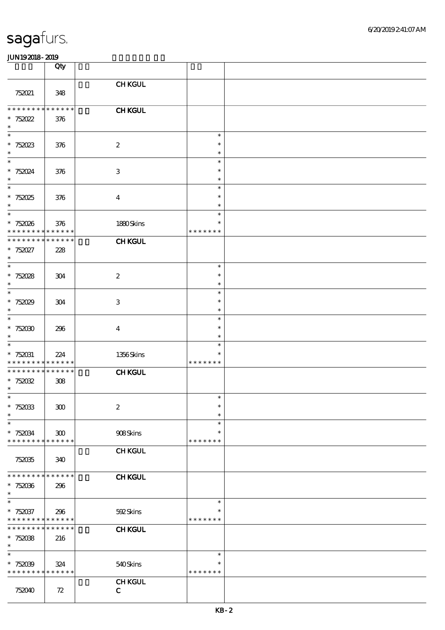|                                          | Qty                        |                         |                         |  |
|------------------------------------------|----------------------------|-------------------------|-------------------------|--|
|                                          |                            | <b>CHKGUL</b>           |                         |  |
| 752021                                   | 348                        |                         |                         |  |
| * * * * * * * *                          | * * * * * *                | <b>CHKGUL</b>           |                         |  |
| $* 752022$<br>$\ast$                     | 376                        |                         |                         |  |
| $\ast$<br>$* 752023$                     |                            | $\boldsymbol{2}$        | $\ast$<br>$\ast$        |  |
| $\ast$                                   | 376                        |                         | $\ast$                  |  |
| $\ast$<br>$* 752024$                     | 376                        | 3                       | $\ast$<br>$\ast$        |  |
| $\ast$<br>$\overline{\ast}$              |                            |                         | $\ast$                  |  |
| $*752025$                                | 376                        | $\boldsymbol{4}$        | $\ast$<br>$\ast$        |  |
| $\ast$<br>$\ast$                         |                            |                         | $\ast$<br>$\ast$        |  |
| $*752026$                                | 376                        | 1880Skins               | $\ast$                  |  |
| * * * * * * * *<br>* * * * * * * *       | * * * * * *<br>* * * * * * |                         | * * * * * * *           |  |
| $* 752027$                               | 228                        | <b>CHKGUL</b>           |                         |  |
| $\ast$<br>$\overline{\phantom{0}}$       |                            |                         | $\ast$                  |  |
| $* 752028$                               | 304                        | $\boldsymbol{z}$        | $\ast$                  |  |
| $\ast$<br>$\ast$                         |                            |                         | $\ast$<br>$\ast$        |  |
| $*752029$                                | 304                        | 3                       | $\ast$                  |  |
| $\ast$                                   |                            |                         | $\ast$                  |  |
| $\ast$<br>$*75200$                       | 296                        | $\overline{\mathbf{4}}$ | $\ast$<br>$\ast$        |  |
| $\ast$                                   |                            |                         | $\ast$                  |  |
| $\ast$<br>$* 752031$                     | 224                        | 1356Skins               | $\ast$<br>$\ast$        |  |
| * * * * * * * *                          | * * * * * *                |                         | * * * * * * *           |  |
| * * * * * * * *<br>$* 752032$            | * * * * * *<br>308         | <b>CHKGUL</b>           |                         |  |
| $\ast$                                   |                            |                         |                         |  |
| $*$<br>$* 752033$                        | 300                        | $\boldsymbol{2}$        | $\ast$<br>$\ast$        |  |
| $\ast$                                   |                            |                         | $\ast$                  |  |
| $\ast$<br>$* 752034$                     |                            | 908Skins                | $\ast$<br>$\ast$        |  |
| * * * * * * * * <mark>* * * * * *</mark> | 300                        |                         | * * * * * * *           |  |
|                                          |                            | <b>CHKGUL</b>           |                         |  |
| 752035                                   | 340                        |                         |                         |  |
| * * * * * * * *                          | * * * * * *                | <b>CHKGUL</b>           |                         |  |
| $*752036$<br>$\ast$                      | 296                        |                         |                         |  |
| $\ast$                                   |                            |                         | $\ast$                  |  |
| $* 752037$<br>* * * * * * * *            | 296<br>* * * * * *         | 592Skins                | $\ast$<br>* * * * * * * |  |
| * * * * * * *                            | * * * * * *                | <b>CHKGUL</b>           |                         |  |
| $*75208$<br>$\ast$                       | 216                        |                         |                         |  |
| $\ast$                                   |                            |                         | $\ast$                  |  |
| $*75209$<br>* * * * * * * *              | 324<br>* * * * * *         | 540Skins                | $\ast$<br>* * * * * * * |  |
|                                          |                            | <b>CHKGUL</b>           |                         |  |
| 752040                                   | 72                         | $\mathbf C$             |                         |  |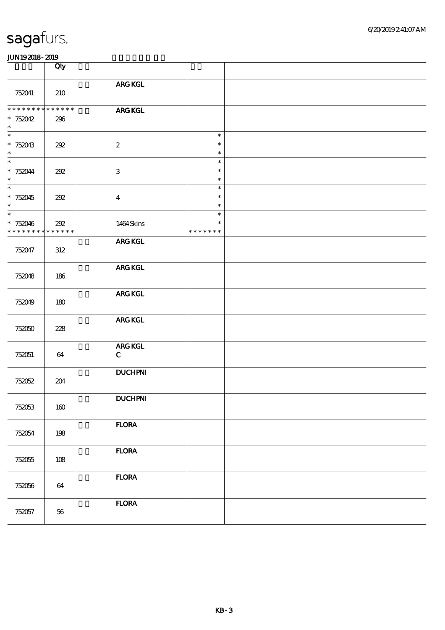|                                                   | Qty                |                               |                                   |  |
|---------------------------------------------------|--------------------|-------------------------------|-----------------------------------|--|
| 752041                                            | 210                | ARG KGL                       |                                   |  |
| * * * * * * *<br>$* 752042$<br>$\ast$             | $******$<br>296    | <b>ARG KGL</b>                |                                   |  |
| $\ast$<br>$* 752043$<br>$\ast$                    | 202                | $\boldsymbol{2}$              | $\ast$<br>$\ast$<br>$\ast$        |  |
| $\ast$<br>$* 752044$<br>$\ast$                    | 202                | $\ensuremath{\mathbf{3}}$     | $\ast$<br>$\ast$<br>$\ast$        |  |
| $\overline{\phantom{a}^*}$<br>$*752045$<br>$\ast$ | 202                | $\overline{\mathbf{4}}$       | $\ast$<br>$\ast$<br>$\ast$        |  |
| $\overline{\ast}$<br>$*752046$<br>* * * * * * * * | 202<br>* * * * * * | 1464Skins                     | $\ast$<br>$\ast$<br>* * * * * * * |  |
| 752047                                            | 312                | ARG KGL                       |                                   |  |
| 752048                                            | 186                | ARG KGL                       |                                   |  |
| 752049                                            | 180                | ${\bf ARG}$ KGL               |                                   |  |
| 752050                                            | 228                | ${\bf ARG}$ KGL               |                                   |  |
| 752051                                            | 64                 | <b>ARG KGL</b><br>$\mathbf C$ |                                   |  |
| 752052                                            | 204                | <b>DUCHPNI</b>                |                                   |  |
| 752053                                            | 160                | <b>DUCHPNI</b>                |                                   |  |
| 752054                                            | 198                | <b>FLORA</b>                  |                                   |  |
| 752055                                            | 108                | <b>FLORA</b>                  |                                   |  |
| 752056                                            | 64                 | <b>FLORA</b>                  |                                   |  |
| 752057                                            | 56                 | <b>FLORA</b>                  |                                   |  |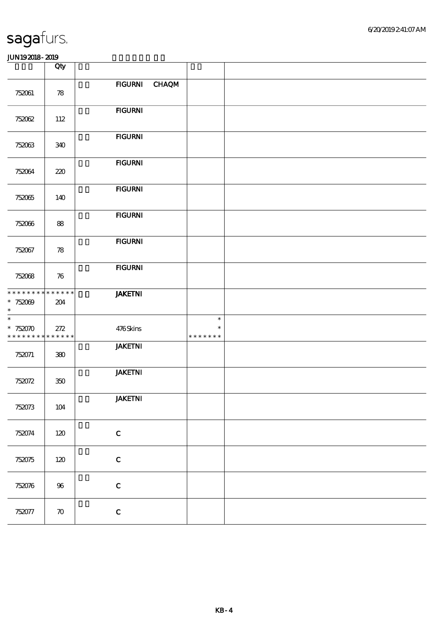| JUN192018-2019 |  |  |
|----------------|--|--|
|                |  |  |

|                                                     | Qty                |                |                                   |  |
|-----------------------------------------------------|--------------------|----------------|-----------------------------------|--|
| 752061                                              | 78                 | FIGURNI CHAQM  |                                   |  |
| 752062                                              | 112                | <b>FIGURNI</b> |                                   |  |
| 752063                                              | 340                | <b>FIGURNI</b> |                                   |  |
| 752064                                              | 220                | <b>FIGURNI</b> |                                   |  |
| 752065                                              | 140                | <b>FIGURNI</b> |                                   |  |
| 752066                                              | 88                 | <b>FIGURNI</b> |                                   |  |
| 752067                                              | 78                 | <b>FIGURNI</b> |                                   |  |
| 752068                                              | 76                 | <b>FIGURNI</b> |                                   |  |
| * * * * * * * * * * * * * *<br>* $752009$<br>$\ast$ | 204                | <b>JAKETNI</b> |                                   |  |
| $\ast$<br>$*752070$<br>* * * * * * * * * * * * * *  | 272                | 476Skins       | $\ast$<br>$\ast$<br>* * * * * * * |  |
| 752071                                              | 380                | <b>JAKETNI</b> |                                   |  |
| 752072                                              | 350                | <b>JAKETNI</b> |                                   |  |
| 752073                                              | $104$              | <b>JAKETNI</b> |                                   |  |
| 752074                                              | 120                | $\mathbf C$    |                                   |  |
| 752075                                              | 120                | $\mathbf C$    |                                   |  |
| 752076                                              | 96                 | $\mathbf C$    |                                   |  |
| 752077                                              | $\boldsymbol{\pi}$ | $\mathbf C$    |                                   |  |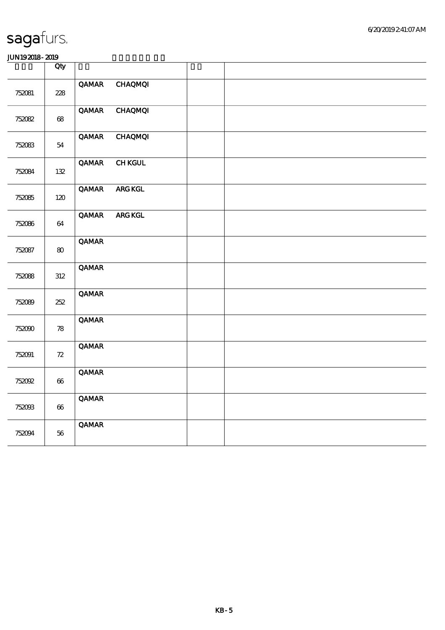|        | Qty                        |              |                 |  |
|--------|----------------------------|--------------|-----------------|--|
| 752081 | 228                        | QAMAR        | <b>CHAQMQI</b>  |  |
| 752082 | $68\,$                     | <b>QAMAR</b> | <b>CHAQMQI</b>  |  |
| 752083 | 54                         | QAMAR        | <b>CHAQMQI</b>  |  |
| 752084 | 132                        | <b>QAMAR</b> | <b>CHKGUL</b>   |  |
| 752085 | 120                        | QAMAR        | ${\bf ARG}$ KGL |  |
| 752086 | 64                         | QAMAR        | ${\bf ARG}$ KGL |  |
| 752087 | $\bf{8}$                   | <b>QAMAR</b> |                 |  |
| 752088 | 312                        | <b>QAMAR</b> |                 |  |
| 752089 | 252                        | <b>QAMAR</b> |                 |  |
| 752090 | $\boldsymbol{\mathcal{R}}$ | <b>QAMAR</b> |                 |  |
| 752091 | $72\,$                     | <b>QAMAR</b> |                 |  |
| 752092 | $\boldsymbol{\omega}$      | <b>QAMAR</b> |                 |  |
| 752093 | $\pmb{\infty}$             | <b>QAMAR</b> |                 |  |
| 752094 | 56                         | <b>QAMAR</b> |                 |  |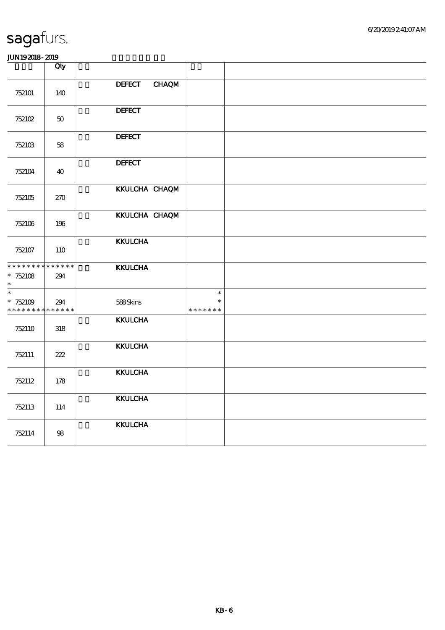|                                                                 | Qty    |                               |                                   |  |
|-----------------------------------------------------------------|--------|-------------------------------|-----------------------------------|--|
| 752101                                                          | 140    | <b>CHAQM</b><br><b>DEFECT</b> |                                   |  |
| 752102                                                          | $50\,$ | <b>DEFECT</b>                 |                                   |  |
| 752103                                                          | 58     | <b>DEFECT</b>                 |                                   |  |
| 752104                                                          | 40     | <b>DEFECT</b>                 |                                   |  |
| 752105                                                          | 270    | KKULCHA CHAQM                 |                                   |  |
| 752106                                                          | 196    | KKULCHA CHAQM                 |                                   |  |
| 752107                                                          | 110    | <b>KKULCHA</b>                |                                   |  |
| * * * * * * * * * * * * * *<br>* $752108$<br>$\ast$             | 294    | <b>KKULCHA</b>                |                                   |  |
| $\ast$<br>$*752109$<br>* * * * * * * * <mark>* * * * * *</mark> | 294    | 588Skins                      | $\ast$<br>$\ast$<br>* * * * * * * |  |
| 752110                                                          | 318    | <b>KKULCHA</b>                |                                   |  |
| 752111                                                          | 222    | <b>KKULCHA</b>                |                                   |  |
| 752112                                                          | 178    | <b>KKULCHA</b>                |                                   |  |
| 752113                                                          | 114    | <b>KKULCHA</b>                |                                   |  |
| 752114                                                          | $98\,$ | <b>KKULCHA</b>                |                                   |  |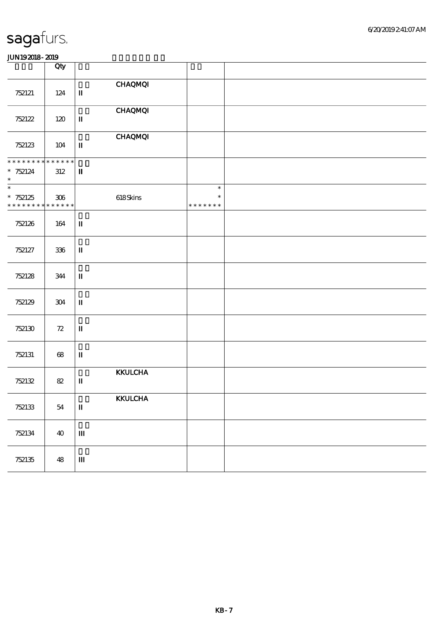|                                                         | Qty                    |                                          |  |
|---------------------------------------------------------|------------------------|------------------------------------------|--|
| 752121                                                  | 124                    | <b>CHAQMQI</b><br>$\mathbf u$            |  |
| 752122                                                  | 120                    | <b>CHAQMQI</b><br>$\mathbf I$            |  |
| 752123                                                  | 104                    | <b>CHAQMQI</b><br>$\mathbf{I}\mathbf{I}$ |  |
| ********<br>$* 752124$<br>$\ast$                        | * * * * * *<br>$312\,$ | $\mathbf{I}$                             |  |
| $_{*}^{-}$<br>$* 752125$<br>* * * * * * * * * * * * * * | 306                    | $618$ Skins                              |  |
| 752126                                                  | 164                    | $\mathbf u$                              |  |
| 752127                                                  | $336\,$                | $\mathbf I$                              |  |
| 752128                                                  | 344                    | $\rm I\hspace{-.1em}I\hspace{-.1em}I$    |  |
| 752129                                                  | 304                    | $\mathbf{I}\mathbf{I}$                   |  |
| 752130                                                  | $\mathcal{Z}$          | $\mathbf I$                              |  |
| 752131                                                  | 68                     | $\mathbf{I}\mathbf{I}$                   |  |
| 752132                                                  | $82\,$                 | <b>KKULCHA</b><br>$\mathbf u$            |  |
| 752133                                                  | 54                     | <b>KKULCHA</b><br>$\mathbf{I}\mathbf{I}$ |  |
| 752134                                                  | 40                     | $\mathbf{m}$                             |  |
| 752135                                                  | 48                     | $\mathbf{m}$                             |  |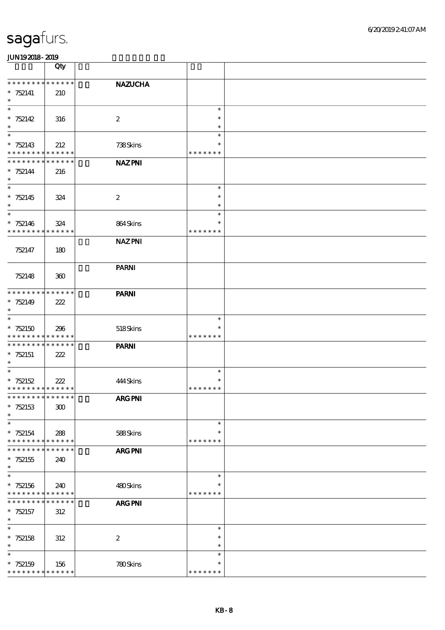|                                                        | Qty                        |                         |                         |  |
|--------------------------------------------------------|----------------------------|-------------------------|-------------------------|--|
| * * * * * * * * * * * * * *                            |                            | <b>NAZUCHA</b>          |                         |  |
| $* 752141$                                             | 210                        |                         |                         |  |
| $\ast$<br>$\ast$                                       |                            |                         | $\ast$                  |  |
| $* 752142$                                             | 316                        | $\boldsymbol{2}$        | $\ast$                  |  |
| $\ast$                                                 |                            |                         | $\ast$                  |  |
| $\ast$<br>$* 752143$                                   | 212                        | 738Skins                | $\ast$<br>$\ast$        |  |
| * * * * * * * * * * * * * *                            |                            |                         | * * * * * * *           |  |
| * * * * * * * * * * * * * *                            |                            | <b>NAZPNI</b>           |                         |  |
| $* 752144$<br>$\ast$                                   | 216                        |                         |                         |  |
| $\overline{\ast}$                                      |                            |                         | $\ast$                  |  |
| $* 752145$                                             | 324                        | $\boldsymbol{2}$        | $\ast$                  |  |
| $\ast$                                                 |                            |                         | $\ast$                  |  |
| $\ast$<br>$* 752146$                                   | 324                        | 864Skins                | $\ast$<br>$\ast$        |  |
| * * * * * * * *                                        | * * * * * *                |                         | * * * * * * *           |  |
|                                                        |                            | <b>NAZ PNI</b>          |                         |  |
| 752147                                                 | 180                        |                         |                         |  |
|                                                        |                            | <b>PARNI</b>            |                         |  |
| 752148                                                 | 360                        |                         |                         |  |
|                                                        |                            |                         |                         |  |
| * * * * * * * * * * * * * *<br>$* 752149$              | 222                        | <b>PARNI</b>            |                         |  |
| $\ast$                                                 |                            |                         |                         |  |
| $\ast$                                                 |                            |                         | $\ast$                  |  |
| $* 752150$<br>* * * * * * * * <mark>* * * * * *</mark> | 296                        | 518Skins                | $\ast$<br>* * * * * * * |  |
| * * * * * * * * * * * * * *                            |                            | <b>PARNI</b>            |                         |  |
| $*752151$                                              | 222                        |                         |                         |  |
| $\ast$<br>$\ast$                                       |                            |                         | $\ast$                  |  |
| $* 752152$                                             | 222                        | 444 Skins               | $\ast$                  |  |
| * * * * * * * * * * * * * *                            |                            |                         | * * * * * * *           |  |
| * * * * * * * * * * * * * *                            |                            | ${\bf ARG}$ ${\bf PNI}$ |                         |  |
| $* 752153$<br>$\ast$                                   | ${\bf 300}$                |                         |                         |  |
| $\ast$                                                 |                            |                         | $\ast$                  |  |
| $* 752154$                                             | 288                        | 588Skins                | $\ast$                  |  |
| * * * * * * * *<br>* * * * * * *                       | * * * * * *<br>* * * * * * | <b>ARG PNI</b>          | * * * * * * *           |  |
| $*752155$                                              | 240                        |                         |                         |  |
| $\ast$                                                 |                            |                         |                         |  |
| $\ast$<br>$*752156$                                    | 240                        | 480Skins                | $\ast$<br>$\ast$        |  |
| * * * * * * * * * * * * * *                            |                            |                         | * * * * * * *           |  |
| * * * * * * *                                          | * * * * * *                | ARG PNI                 |                         |  |
| $* 752157$<br>$\ast$                                   | 312                        |                         |                         |  |
| $\overline{\ast}$                                      |                            |                         | $\ast$                  |  |
| $* 752158$                                             | 312                        | $\boldsymbol{2}$        | $\ast$                  |  |
| $\ast$                                                 |                            |                         | $\ast$                  |  |
| $\ast$<br>$* 752159$                                   | 156                        | 780Skins                | $\ast$<br>$\ast$        |  |
| * * * * * * * * * * * * * *                            |                            |                         | * * * * * * *           |  |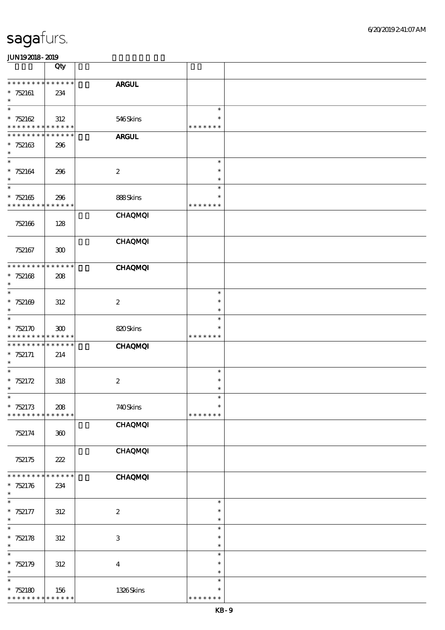|                                    | Qty                        |                         |                                   |  |
|------------------------------------|----------------------------|-------------------------|-----------------------------------|--|
| * * * * * * * *<br>$* 752161$      | * * * * * *<br>234         | <b>ARGUL</b>            |                                   |  |
| $\ast$                             |                            |                         |                                   |  |
| $\ast$<br>$* 752162$               | 312                        | 546Skins                | $\ast$<br>$\ast$<br>* * * * * * * |  |
| * * * * * * * *<br>* * * * * * * * | * * * * * *<br>* * * * * * | <b>ARGUL</b>            |                                   |  |
| $*752163$<br>$\ast$                | 296                        |                         |                                   |  |
| $\ast$<br>$* 752164$<br>$\ast$     | 296                        | $\boldsymbol{z}$        | $\ast$<br>$\ast$<br>$\ast$        |  |
| $\overline{\ast}$                  |                            |                         | $\ast$                            |  |
| $* 752165$<br>* * * * * * * *      | 296<br>* * * * * *         | 888Skins                | $\ast$<br>* * * * * * *           |  |
| 752166                             | 128                        | <b>CHAQMQI</b>          |                                   |  |
| 752167                             | 300                        | <b>CHAQMQI</b>          |                                   |  |
| * * * * * * * *                    | * * * * * *                | <b>CHAQMQI</b>          |                                   |  |
| $* 752168$<br>$\ast$               | 208                        |                         |                                   |  |
| $\ast$<br>$* 752169$               | 312                        | $\boldsymbol{2}$        | $\ast$<br>$\ast$                  |  |
| $\ast$                             |                            |                         | $\ast$                            |  |
| $\ast$                             |                            |                         | $\ast$<br>$\ast$                  |  |
| $*752170$<br>* * * * * * * *       | 300<br>* * * * * *         | 820Skins                | * * * * * * *                     |  |
| * * * * * * *                      | * * * * * *                | <b>CHAQMQI</b>          |                                   |  |
| $* 752171$<br>$\ast$               | 214                        |                         |                                   |  |
| $\ast$                             |                            |                         | $\ast$                            |  |
| * $752172$<br>$\ast$               | 318                        | $\boldsymbol{2}$        | $\ast$<br>$\ast$                  |  |
| $\ast$                             |                            |                         | $\ast$                            |  |
| $*752173$<br>* * * * * * * *       | 208<br>* * * * * *         | 740Skins                | $\ast$<br>* * * * * * *           |  |
|                                    |                            | <b>CHAQMQI</b>          |                                   |  |
| 752174                             | 360                        |                         |                                   |  |
| 752175                             | 222                        | <b>CHAQMQI</b>          |                                   |  |
| * * * * * * *                      | * * * * * *                | <b>CHAQMQI</b>          |                                   |  |
| $* 752176$<br>$\ast$               | 234                        |                         |                                   |  |
| $\overline{\ast}$<br>$* 752177$    |                            | $\boldsymbol{2}$        | $\ast$<br>$\ast$                  |  |
| $\ast$                             | 312                        |                         | $\ast$                            |  |
| $\ast$                             |                            |                         | $\ast$<br>$\ast$                  |  |
| $* 752178$<br>$\ast$               | 312                        | $\,3$                   | $\ast$                            |  |
| $\ast$                             |                            |                         | $\ast$                            |  |
| $*752179$<br>$\ast$                | $312\,$                    | $\overline{\mathbf{4}}$ | $\ast$<br>$\ast$                  |  |
| $\ast$                             |                            |                         | $\ast$                            |  |
| $*752180$<br>* * * * * * * *       | 156<br>* * * * * *         | 1326Skins               | $\ast$<br>* * * * * * *           |  |
|                                    |                            |                         |                                   |  |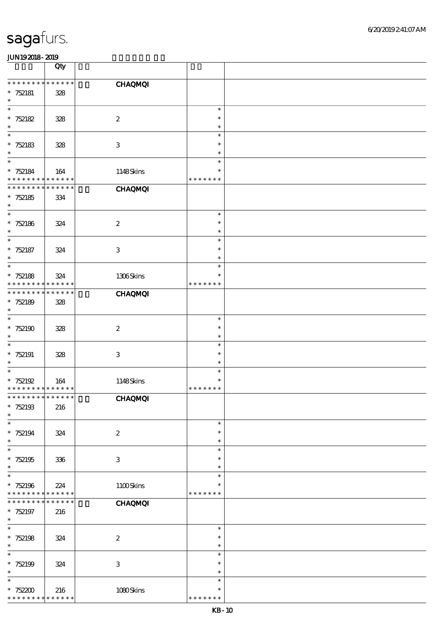|                               | Qty                   |                           |                         |  |
|-------------------------------|-----------------------|---------------------------|-------------------------|--|
| * * * * * * * *               | * * * * * *           | <b>CHAQMQI</b>            |                         |  |
| $* 752181$                    | 328                   |                           |                         |  |
| $\ast$                        |                       |                           |                         |  |
| $\ast$                        |                       |                           | $\ast$                  |  |
| $* 752182$                    | 328                   | $\boldsymbol{2}$          | $\ast$                  |  |
| $\ast$<br>$\ast$              |                       |                           | $\ast$<br>$\ast$        |  |
| $* 752183$                    | 328                   | $\ensuremath{\mathbf{3}}$ | $\ast$                  |  |
| $\ast$                        |                       |                           | $\ast$                  |  |
| $\ast$                        |                       |                           | $\ast$                  |  |
| $* 752184$                    | 164                   | 1148Skins                 | $\ast$                  |  |
| * * * * * * * *               | * * * * * *           |                           | * * * * * * *           |  |
| * * * * * * * *               | * * * * * *           | <b>CHAQMQI</b>            |                         |  |
| $* 752185$                    | 334                   |                           |                         |  |
| $\ast$<br>$\ast$              |                       |                           | $\ast$                  |  |
| $* 752186$                    | 324                   | $\boldsymbol{2}$          | $\ast$                  |  |
| $\ast$                        |                       |                           | $\ast$                  |  |
| $\ast$                        |                       |                           | $\ast$                  |  |
| $* 752187$                    | 324                   | $\ensuremath{\mathbf{3}}$ | $\ast$                  |  |
| $\ast$                        |                       |                           | $\ast$                  |  |
| $\ast$                        |                       |                           | $\ast$                  |  |
| $* 752188$<br>* * * * * * * * | 324<br>* * * * * *    | 1306Skins                 | $\ast$<br>* * * * * * * |  |
| * * * * * * * *               | * * * * * *           | <b>CHAQMQI</b>            |                         |  |
| $* 752189$                    | 328                   |                           |                         |  |
| $\ast$                        |                       |                           |                         |  |
| $\ast$                        |                       |                           | $\ast$                  |  |
| $*752190$                     | 328                   | $\boldsymbol{2}$          | $\ast$                  |  |
| $\ast$                        |                       |                           | $\ast$                  |  |
| $\ast$                        |                       |                           | $\ast$<br>$\ast$        |  |
| $*752191$<br>$\ast$           | 328                   | $\ensuremath{\mathbf{3}}$ | $\ast$                  |  |
| $\ast$                        |                       |                           | $\ast$                  |  |
| $* 752192$                    | 164                   | 1148Skins                 | $\ast$                  |  |
| * * * * * * * * * * * * * *   |                       |                           | * * * * * * *           |  |
| * * * * * * * * * * * * * *   |                       | <b>CHAQMQI</b>            |                         |  |
| $*752193$                     | 216                   |                           |                         |  |
| $\ast$<br>$\ast$              |                       |                           | $\ast$                  |  |
| $* 752194$                    | 324                   | $\boldsymbol{2}$          | $\ast$                  |  |
| $\ast$                        |                       |                           | $\ast$                  |  |
| $\ast$                        |                       |                           | $\ast$                  |  |
| $*752195$                     | 336                   | $\ensuremath{\mathbf{3}}$ | $\ast$                  |  |
| $\ast$                        |                       |                           | $\ast$                  |  |
| $\ast$                        |                       |                           | $\ast$                  |  |
| $* 752196$<br>* * * * * * * * | 224<br>* * * * * *    | 1100Skins                 | $\ast$<br>* * * * * * * |  |
| * * *<br>* * * *              | $***$ * * *<br>$\ast$ | <b>CHAQMQI</b>            |                         |  |
| $* 752197$                    | 216                   |                           |                         |  |
| $\ast$                        |                       |                           |                         |  |
| $\ast$                        |                       |                           | $\ast$                  |  |
| $* 752198$                    | 324                   | $\boldsymbol{2}$          | $\ast$                  |  |
| $\ast$                        |                       |                           | $\ast$                  |  |
| $\ast$<br>$* 752199$          |                       | $\ensuremath{\mathbf{3}}$ | $\ast$<br>$\ast$        |  |
| $\ast$                        | 324                   |                           | $\ast$                  |  |
| $\ast$                        |                       |                           | $\ast$                  |  |
| $* 752200$                    | 216                   | 1080Skins                 | $\ast$                  |  |
| * * * * * * * *               | * * * * * *           |                           | * * * * * * *           |  |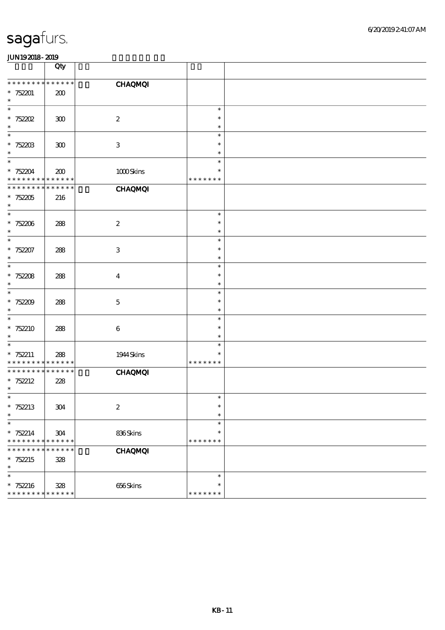|                                                     | Qty                |                  |                                   |  |
|-----------------------------------------------------|--------------------|------------------|-----------------------------------|--|
| * * * * * * * * * * * * * *                         |                    | <b>CHAQMQI</b>   |                                   |  |
| $*752201$<br>$\ast$                                 | 200                |                  |                                   |  |
| $\ast$<br>$* 752202$<br>$\ast$                      | 300                | $\boldsymbol{2}$ | $\ast$<br>$\ast$<br>$\ast$        |  |
| $\ast$<br>$* 752203$<br>$\ast$                      | $300\,$            | $\,3$            | $\ast$<br>$\ast$<br>$\ast$        |  |
| $\ast$<br>$* 752204$<br>* * * * * * * * * * * * * * | 200                | 1000Skins        | $\ast$<br>$\ast$<br>* * * * * * * |  |
| * * * * * * *<br>$*752205$<br>$\ast$                | * * * * * *<br>216 | <b>CHAQMQI</b>   |                                   |  |
| $\ast$<br>$* 752206$<br>$\ast$                      | 288                | $\boldsymbol{2}$ | $\ast$<br>$\ast$<br>$\ast$        |  |
| $\ast$<br>$* 752207$<br>$\ast$                      | 288                | $\,3$            | $\ast$<br>$\ast$<br>$\ast$        |  |
| $\ast$<br>$* 752208$<br>$\ast$                      | 288                | $\boldsymbol{4}$ | $\ast$<br>$\ast$<br>$\ast$        |  |
| $\ast$<br>$*752209$<br>$\ast$                       | 288                | $\mathbf 5$      | $\ast$<br>$\ast$<br>$\ast$        |  |
| $\ast$<br>$*752210$<br>$\ast$                       | 288                | $\,6\,$          | $\ast$<br>$\ast$<br>$\ast$        |  |
| $\ast$<br>$* 752211$<br>* * * * * * * *             | 288<br>* * * * * * | 1944 Skins       | $\ast$<br>$\ast$<br>* * * * * * * |  |
| * * * * * * * *<br>$* 752212$<br>$\ast$             | * * * * * *<br>228 | <b>CHAQMQI</b>   |                                   |  |
| $\ast$<br>* $752213$<br>$\ast$                      | $304\,$            | $\boldsymbol{2}$ | $\ast$<br>$\ast$<br>$\ast$        |  |
| $\ast$<br>$* 752214$<br>* * * * * * * *             | 304<br>* * * * * * | 836Skins         | $\ast$<br>$\ast$<br>* * * * * * * |  |
| * * *<br>* * *<br>*<br>$* 752215$<br>$\ast$         | * * * * * *<br>328 | <b>CHAQMQI</b>   |                                   |  |
| $\ast$<br>$* 752216$<br>* * * * * * * * * * * * * * | 328                | 656Skins         | $\ast$<br>$\ast$<br>* * * * * * * |  |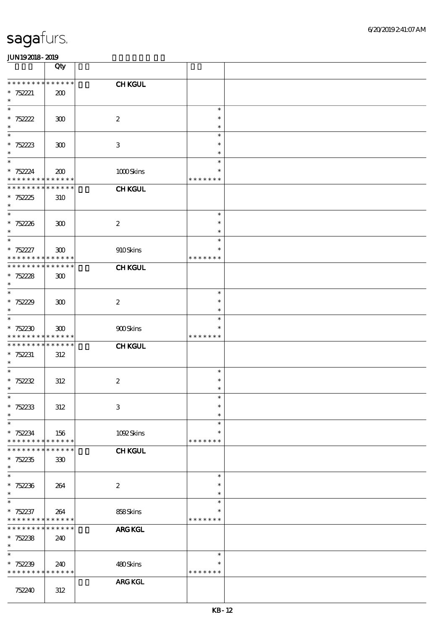|                                                        | Qty                |                           |                         |  |
|--------------------------------------------------------|--------------------|---------------------------|-------------------------|--|
| * * * * * * * * * * * * * *                            |                    | <b>CHKGUL</b>             |                         |  |
| * $752221$                                             | 200                |                           |                         |  |
| $\ast$<br>$\ast$                                       |                    |                           | $\ast$                  |  |
| $* 752222$                                             | 300                | $\boldsymbol{2}$          | $\ast$                  |  |
| $\ast$                                                 |                    |                           | $\ast$                  |  |
| $\ast$                                                 |                    |                           | $\ast$                  |  |
| $* 75223$<br>$\ast$                                    | 300                | $\,3$                     | $\ast$<br>$\ast$        |  |
| $\ast$                                                 |                    |                           | $\ast$                  |  |
| $* 752224$                                             | 200                | 1000Skins                 | $\ast$                  |  |
| * * * * * * * * <mark>* * * * * *</mark>               |                    |                           | * * * * * * *           |  |
| * * * * * * * * * * * * * *                            |                    | <b>CHKGUL</b>             |                         |  |
| $* 752225$<br>$\ast$                                   | 310                |                           |                         |  |
| $\ast$                                                 |                    |                           | $\ast$                  |  |
| $* 752236$                                             | 300                | $\boldsymbol{2}$          | $\ast$                  |  |
| $\ast$<br>$\ast$                                       |                    |                           | $\ast$<br>$\ast$        |  |
| $* 752227$                                             | 300                | 910Skins                  | $\ast$                  |  |
| * * * * * * * * * * * * * *                            |                    |                           | * * * * * * *           |  |
| * * * * * * * * * * * * * *                            |                    | <b>CHKGUL</b>             |                         |  |
| $* 75228$<br>$\ast$                                    | 300                |                           |                         |  |
| $\ast$                                                 |                    |                           | $\ast$                  |  |
| $* 75229$                                              | 300                | $\boldsymbol{2}$          | $\ast$                  |  |
| $\ast$<br>$\ast$                                       |                    |                           | $\ast$<br>$\ast$        |  |
| $*752230$                                              | 300                | 900Skins                  |                         |  |
| * * * * * * * * <mark>* * * * * *</mark>               |                    |                           | * * * * * * *           |  |
| * * * * * * * * * * * * * *                            |                    | <b>CHKGUL</b>             |                         |  |
| $* 752231$<br>$\ast$                                   | 312                |                           |                         |  |
| $\ast$                                                 |                    |                           | $\ast$                  |  |
| $* 752232$                                             | 312                | $\boldsymbol{2}$          | $\ast$                  |  |
| $\ast$                                                 |                    |                           | $\ast$                  |  |
| $*$<br>$* 752233$                                      | 312                | $\ensuremath{\mathbf{3}}$ | $\ast$<br>$\ast$        |  |
| $\ast$                                                 |                    |                           | $\ast$                  |  |
| $\ast$                                                 |                    |                           | $\ast$                  |  |
| $* 752234$<br>* * * * * * * *                          | 156<br>* * * * * * | 1092Skins                 | $\ast$<br>* * * * * * * |  |
| * * * * * * *                                          | * * * * * *        | <b>CHKGUL</b>             |                         |  |
| $* 752235$                                             | 330                |                           |                         |  |
| $\ast$                                                 |                    |                           |                         |  |
| $\ast$<br>$* 752236$                                   | 264                | $\boldsymbol{2}$          | $\ast$<br>$\ast$        |  |
| $\ast$                                                 |                    |                           | $\ast$                  |  |
| $\ast$                                                 |                    |                           | $\ast$                  |  |
| $* 752237$<br>* * * * * * * * <mark>* * * * * *</mark> | 264                | 858Skins                  | $\ast$<br>* * * * * * * |  |
| * * * * * * * *                                        | * * * * * *        | <b>ARG KGL</b>            |                         |  |
| $* 752238$                                             | 240                |                           |                         |  |
| $\ast$                                                 |                    |                           |                         |  |
| $\ast$<br>$* 752239$                                   |                    | 480Skins                  | $\ast$<br>$\ast$        |  |
| * * * * * * * * <mark>* * * * * *</mark>               | 240                |                           | * * * * * * *           |  |
|                                                        |                    | ARG KGL                   |                         |  |
| 752240                                                 | 312                |                           |                         |  |
|                                                        |                    |                           |                         |  |